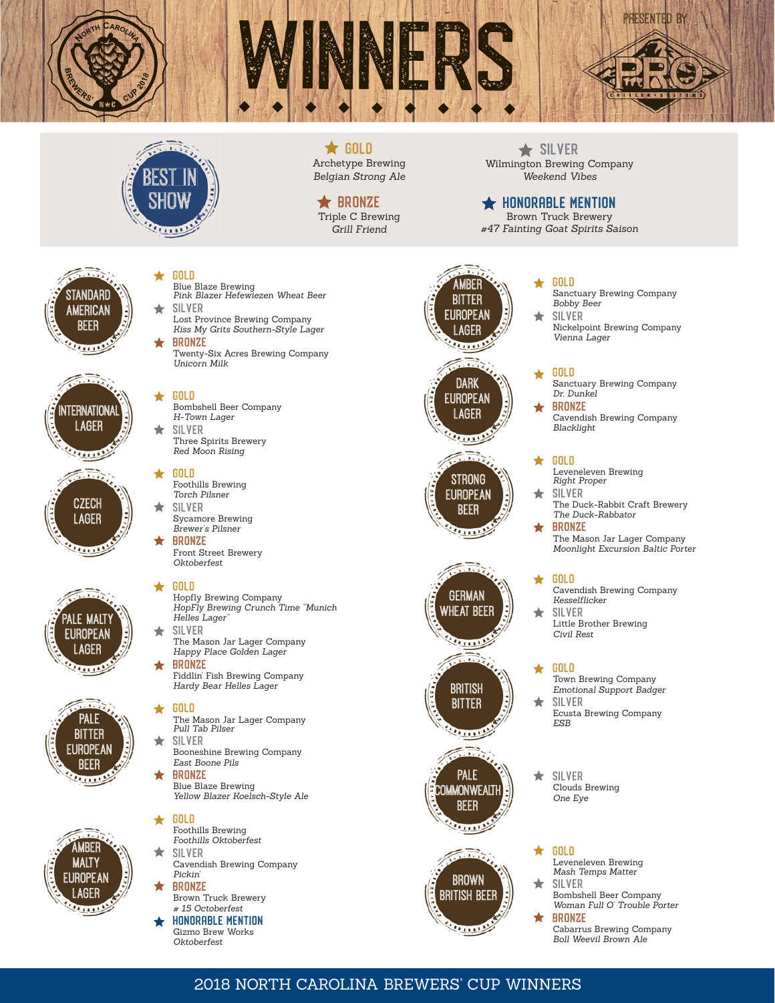







 $\bigstar$  GOLD Archetype Brewing *Belgian Strong Ale*

# **★ BRONZE**

Triple C Brewing *Grill Friend*

 $\bigstar$  SILVER Wilmington Brewing Company *Weekend Vibes*

# $\bigstar$  honorable mention

Brown Truck Brewery *#47 Fainting Goat Spirits Saison*



## Blue Blaze Brewing *Pink Blazer Hefewiezen Wheat Beer* **SILVER** ÷

Gold

**GOLD** 

Lost Province Brewing Company *Kiss My Grits Southern-Style Lager* Bronze

Twenty-Six Acres Brewing Company *Unicorn Milk*

Bombshell Beer Company



 $1.111$ 

*H-Town Lager* ۰ **SILVER** 

Three Spirits Brewery *Red Moon Rising*

Gold ★ Foothills Brewing *Torch Pilsner*

- **SILVER** ╈ Sycamore Brewing *Brewer's Pilsner*
- **BRONZE** Front Street Brewery *Oktoberfest*







# **GOLD** Hopfly Brewing Company *HopFly Brewing Crunch Time "Munich Helles Lager"* **SILVER**

*Happy Place Golden Lager* Bronze

Fiddlin' Fish Brewing Company *Hardy Bear Helles Lager*

- The Mason Jar Lager Company *Pull Tab Pilser*
- Silver  $\bigstar$ *East Boone Pils*

 $\bigstar$ Gold Foothills Brewing *Foothills Oktoberfest* Silver

- Cavendish Brewing Company *Pickin'*
- Bronze Brown Truck Brewery *# 15 Octoberfest*
- honorable mention Gizmo Brew Works *Oktoberfest*



Gold

٠

- Sanctuary Brewing Company *Bobby Beer* Silver
- Nickelpoint Brewing Company *Vienna Lager*

# Gold

Sanctuary Brewing Company *Dr*. *Dunkel*

Bronze Cavendish Brewing Company *Blacklight*

# Gold

- Leveneleven Brewing *Right Proper*
- Silver The Duck-Rabbit Craft Brewery *The Duck-Rabbator*

Bronze The Mason Jar Lager Company *Moonlight Excursion Baltic Porter*

## ★ **GOLD**

Cavendish Brewing Company *Kesselfl icker*

۰ Silver Little Brother Brewing *Civil Rest*

# **GOLD**

- Town Brewing Company *Emotional Support Badger* **SILVER** Ecusta Brewing Company *ESB*
- ★ Silver Clouds Brewing *One Eye*

## $\bigstar$ Gold

Leveneleven Brewing *Mash Temps Matter*

Silver ◆ Bombshell Beer Company *Woman Full O' Trouble Porter* **BRONZE** 

Cabarrus Brewing Company *Boll Weevil Brown Ale*

# 2018 NORTH CAROLINA BREWERS' CUP WINNERS

- 
- The Mason Jar Lager Company
- 

**GOLD** 

- 
- Booneshine Brewing Company
- Bronze Blue Blaze Brewing *Yellow Blazer Koelsch-Style Ale*









**REAL PROPERTY** 



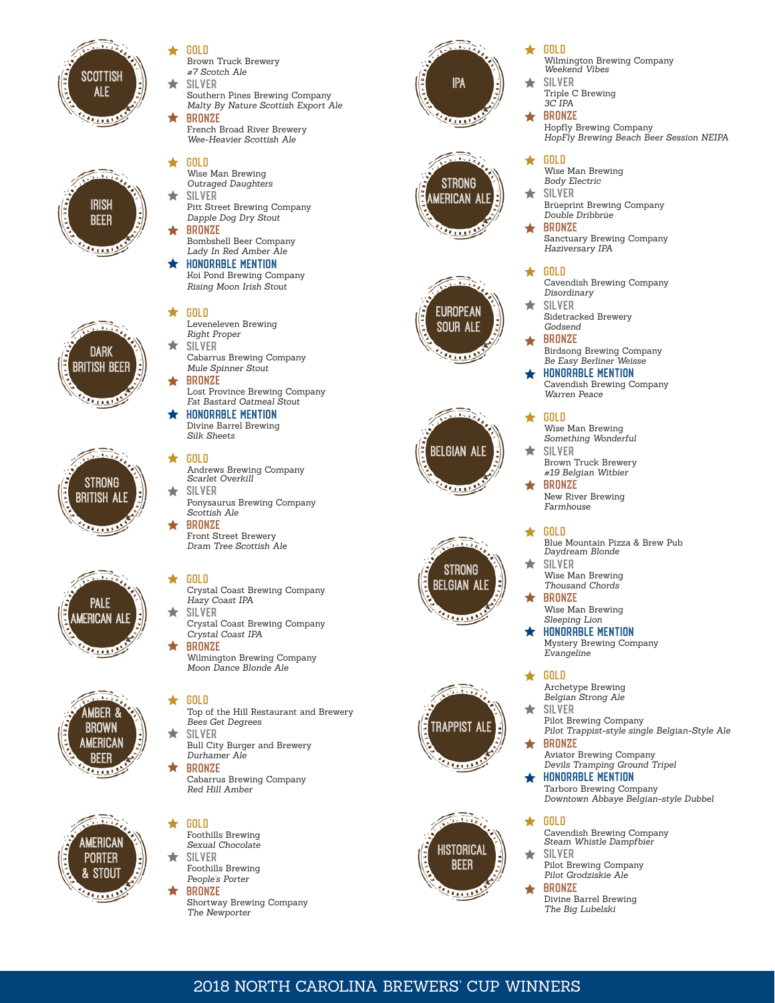













## Gold ◆ Brown Truck Brewery *#7 Scotch Ale*

- ۰ **SILVER** Southern Pines Brewing Company
	- *Malty By Nature Scottish Export Ale* Bronze

French Broad River Brewery *Wee-Heavier Scottish Ale*

## **GOLD** ★

- Wise Man Brewing *Outraged Daughters* **SILVER**
- Pitt Street Brewing Company *Dapple Dog Dry Stout*
- Bronze Bombshell Beer Company *Lady In Red Amber Ale*
- honorable mention Koi Pond Brewing Company

*Rising Moon Irish Stout*

### ★ Gold

- Leveneleven Brewing *Right Proper*
- ◆ Silver Cabarrus Brewing Company *Mule Spinner Stout*
- Bronze Lost Province Brewing Company *Fat Bastard Oatmeal Stout*
- honorable mention Divine Barrel Brewing *Silk Sheets*

## $\bigstar$ Gold

- Andrews Brewing Company *Scarlet Overkill*
- ۰ Silver Ponysaurus Brewing Company *Scottish Ale* Bronze
- Front Street Brewery *Dram Tree Scottish Ale*

## ╈ Gold

- Crystal Coast Brewing Company *Hazy Coast IPA* ★ Silver
	- Crystal Coast Brewing Company *Crystal Coast IPA*
- **BRONZE**

Wilmington Brewing Company *Moon Dance Blonde Ale*

## ★ Gold

- Top of the Hill Restaurant and Brewery *Bees Get Degrees*
- Silver ★ Bull City Burger and Brewery *Durhamer Ale*
- Bronze Cabarrus Brewing Company *Red Hill Amber*
- ◆ **GOLD** Foothills Brewing *Sexual Chocolate* Silver ◆
	- Foothills Brewing *People's Porter*
- Bronze Shortway Brewing Company *The Newporter*















#### $\bigstar$ Gold

- Wilmington Brewing Company *Weekend Vibes*
- **SILVER** ۰ Triple C Brewing *3C IPA*

## Bronze Hopfly Brewing Company *HopFly Brewing Beach Beer Session NEIPA*

## Gold ◆

- Wise Man Brewing *Body Electric*
- **SILVER** Brüeprint Brewing Company *Double Dribbrüe*
- **BRONZE** Sanctuary Brewing Company *Haziversary IPA*

# $\star$  Gold

- Cavendish Brewing Company *Disordinary*
- Silver Sidetracked Brewery *Godsend*
- **BRONZE** Birdsong Brewing Company *Be Easy Berliner Weisse*
- honorable mention Cavendish Brewing Company *Warren Peace*

## ÷ Gold

- Wise Man Brewing *Something Wonderful* Silver
- Brown Truck Brewery *#19 Belgian Witbier*
- Bronze New River Brewing *Farmhouse*

## Gold

- Blue Mountain Pizza & Brew Pub *Daydream Blonde*
- Silver Wise Man Brewing *Thousand Chords*
- Bronze Wise Man Brewing *Sleeping Lion*
- honorable mention Mystery Brewing Company *Evangeline*

### Gold  $\bigstar$

- Archetype Brewing *Belgian Strong Ale*
- **SILVER** ٠ Pilot Brewing Company *Pilot Trappist-style single Belgian-Style Ale*
	- Bronze Aviator Brewing Company *Devils Tramping Ground Tripel*
- honorable mention Tarboro Brewing Company *Downtown Abbaye Belgian-style Dubbel*

## ★ **GOLD**

- Cavendish Brewing Company *Steam Whistle Dampfbier* ★ Silver
- Pilot Brewing Company *Pilot Grodziskie Ale*

# **BRONZE**

Divine Barrel Brewing *The Big Lubelski*